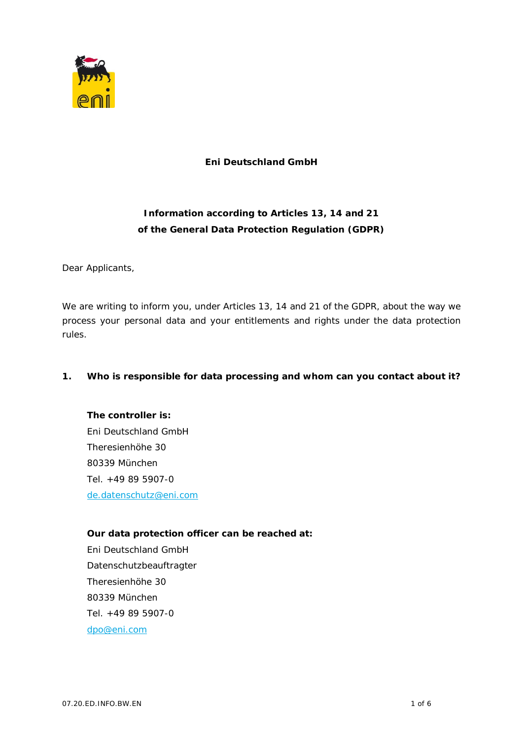

**Eni Deutschland GmbH**

## **Information according to Articles 13, 14 and 21 of the General Data Protection Regulation (GDPR)**

Dear Applicants,

We are writing to inform you, under Articles 13, 14 and 21 of the GDPR, about the way we process your personal data and your entitlements and rights under the data protection rules.

**1. Who is responsible for data processing and whom can you contact about it?**

**The controller is:** Eni Deutschland GmbH Theresienhöhe 30 80339 München Tel. +49 89 5907-0 de.datenschutz@eni.com

**Our data protection officer can be reached at:** Eni Deutschland GmbH Datenschutzbeauftragter Theresienhöhe 30 80339 München Tel. +49 89 5907-0 dpo@eni.com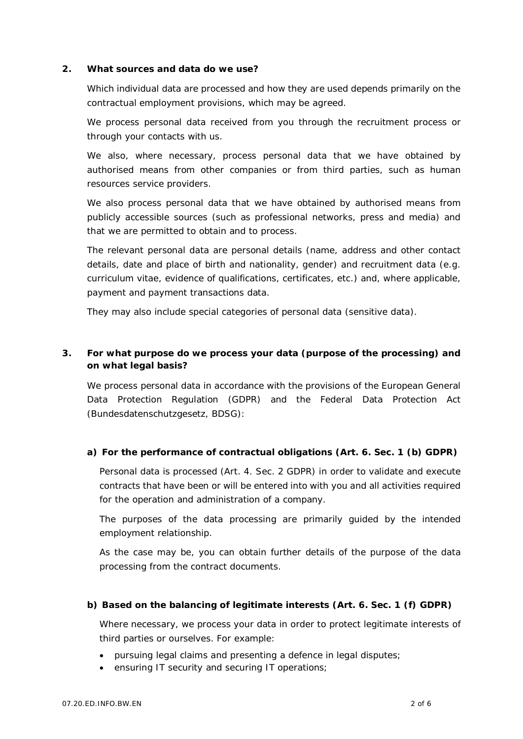**2. What sources and data do we use?**

Which individual data are processed and how they are used depends primarily on the contractual employment provisions, which may be agreed.

We process personal data received from you through the recruitment process or through your contacts with us.

We also, where necessary, process personal data that we have obtained by authorised means from other companies or from third parties, such as human resources service providers.

We also process personal data that we have obtained by authorised means from publicly accessible sources (such as professional networks, press and media) and that we are permitted to obtain and to process.

The relevant personal data are personal details (name, address and other contact details, date and place of birth and nationality, gender) and recruitment data (e.g. curriculum vitae, evidence of qualifications, certificates, etc.) and, where applicable, payment and payment transactions data.

They may also include special categories of personal data (sensitive data).

**3. For what purpose do we process your data (purpose of the processing) and on what legal basis?**

We process personal data in accordance with the provisions of the European General Data Protection Regulation (GDPR) and the Federal Data Protection Act (Bundesdatenschutzgesetz, BDSG):

**a) For the performance of contractual obligations (Art. 6. Sec. 1 (b) GDPR)**

Personal data is processed (Art. 4. Sec. 2 GDPR) in order to validate and execute contracts that have been or will be entered into with you and all activities required for the operation and administration of a company.

The purposes of the data processing are primarily guided by the intended employment relationship.

As the case may be, you can obtain further details of the purpose of the data processing from the contract documents.

**b) Based on the balancing of legitimate interests (Art. 6. Sec. 1 (f) GDPR)**

Where necessary, we process your data in order to protect legitimate interests of third parties or ourselves. For example:

- pursuing legal claims and presenting a defence in legal disputes;
- · ensuring IT security and securing IT operations;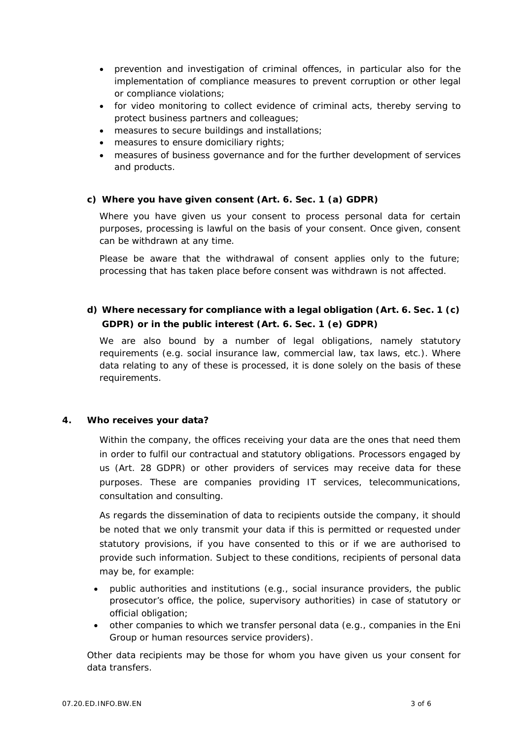- · prevention and investigation of criminal offences, in particular also for the implementation of compliance measures to prevent corruption or other legal or compliance violations;
- · for video monitoring to collect evidence of criminal acts, thereby serving to protect business partners and colleagues;
- · measures to secure buildings and installations;
- · measures to ensure domiciliary rights;
- · measures of business governance and for the further development of services and products.
- **c) Where you have given consent (Art. 6. Sec. 1 (a) GDPR)**

Where you have given us your consent to process personal data for certain purposes, processing is lawful on the basis of your consent. Once given, consent can be withdrawn at any time.

Please be aware that the withdrawal of consent applies only to the future; processing that has taken place before consent was withdrawn is not affected.

**d) Where necessary for compliance with a legal obligation (Art. 6. Sec. 1 (c) GDPR) or in the public interest (Art. 6. Sec. 1 (e) GDPR)**

We are also bound by a number of legal obligations, namely statutory requirements (e.g. social insurance law, commercial law, tax laws, etc.). Where data relating to any of these is processed, it is done solely on the basis of these requirements.

**4. Who receives your data?**

Within the company, the offices receiving your data are the ones that need them in order to fulfil our contractual and statutory obligations. Processors engaged by us (Art. 28 GDPR) or other providers of services may receive data for these purposes. These are companies providing IT services, telecommunications, consultation and consulting.

As regards the dissemination of data to recipients outside the company, it should be noted that we only transmit your data if this is permitted or requested under statutory provisions, if you have consented to this or if we are authorised to provide such information. Subject to these conditions, recipients of personal data may be, for example:

- · public authorities and institutions (e.g., social insurance providers, the public prosecutor's office, the police, supervisory authorities) in case of statutory or official obligation;
- · other companies to which we transfer personal data (e.g., companies in the Eni Group or human resources service providers).

Other data recipients may be those for whom you have given us your consent for data transfers.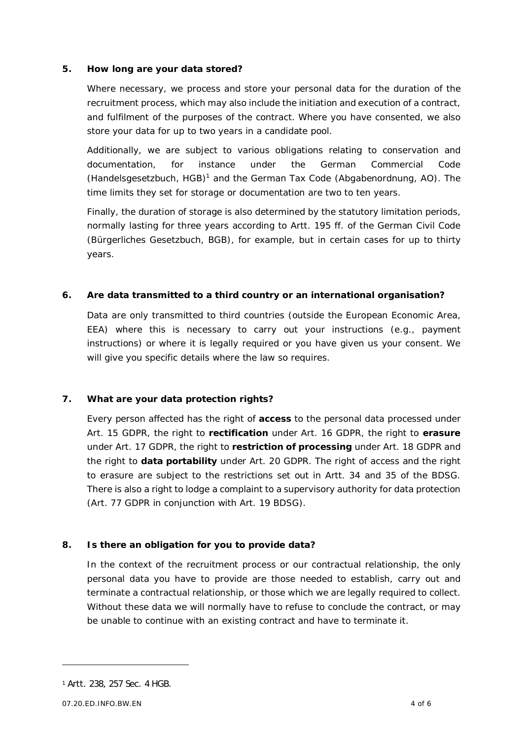## **5. How long are your data stored?**

Where necessary, we process and store your personal data for the duration of the recruitment process, which may also include the initiation and execution of a contract, and fulfilment of the purposes of the contract. Where you have consented, we also store your data for up to two years in a candidate pool.

Additionally, we are subject to various obligations relating to conservation and documentation, for instance under the German Commercial Code (Handelsgesetzbuch, HGB)<sup>1</sup> and the German Tax Code (Abgabenordnung, AO). The time limits they set for storage or documentation are two to ten years.

Finally, the duration of storage is also determined by the statutory limitation periods, normally lasting for three years according to Artt. 195 ff. of the German Civil Code (Bürgerliches Gesetzbuch, BGB), for example, but in certain cases for up to thirty years.

**6. Are data transmitted to a third country or an international organisation?**

Data are only transmitted to third countries (outside the European Economic Area, EEA) where this is necessary to carry out your instructions (e.g., payment instructions) or where it is legally required or you have given us your consent. We will give you specific details where the law so requires.

**7. What are your data protection rights?**

Every person affected has the right of **access** to the personal data processed under Art. 15 GDPR, the right to **rectification** under Art. 16 GDPR, the right to **erasure** under Art. 17 GDPR, the right to **restriction of processing** under Art. 18 GDPR and the right to **data portability** under Art. 20 GDPR. The right of access and the right to erasure are subject to the restrictions set out in Artt. 34 and 35 of the BDSG. There is also a right to lodge a complaint to a supervisory authority for data protection (Art. 77 GDPR in conjunction with Art. 19 BDSG).

**8. Is there an obligation for you to provide data?**

In the context of the recruitment process or our contractual relationship, the only personal data you have to provide are those needed to establish, carry out and terminate a contractual relationship, or those which we are legally required to collect. Without these data we will normally have to refuse to conclude the contract, or may be unable to continue with an existing contract and have to terminate it.

<sup>1</sup> Artt. 238, 257 Sec. 4 HGB.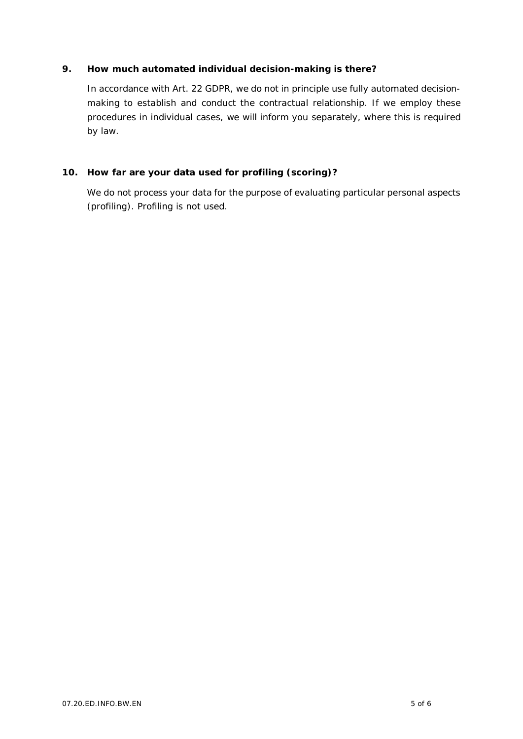## **9. How much automated individual decision-making is there?**

In accordance with Art. 22 GDPR, we do not in principle use fully automated decisionmaking to establish and conduct the contractual relationship. If we employ these procedures in individual cases, we will inform you separately, where this is required by law.

**10. How far are your data used for profiling (scoring)?**

We do not process your data for the purpose of evaluating particular personal aspects (profiling). Profiling is not used.